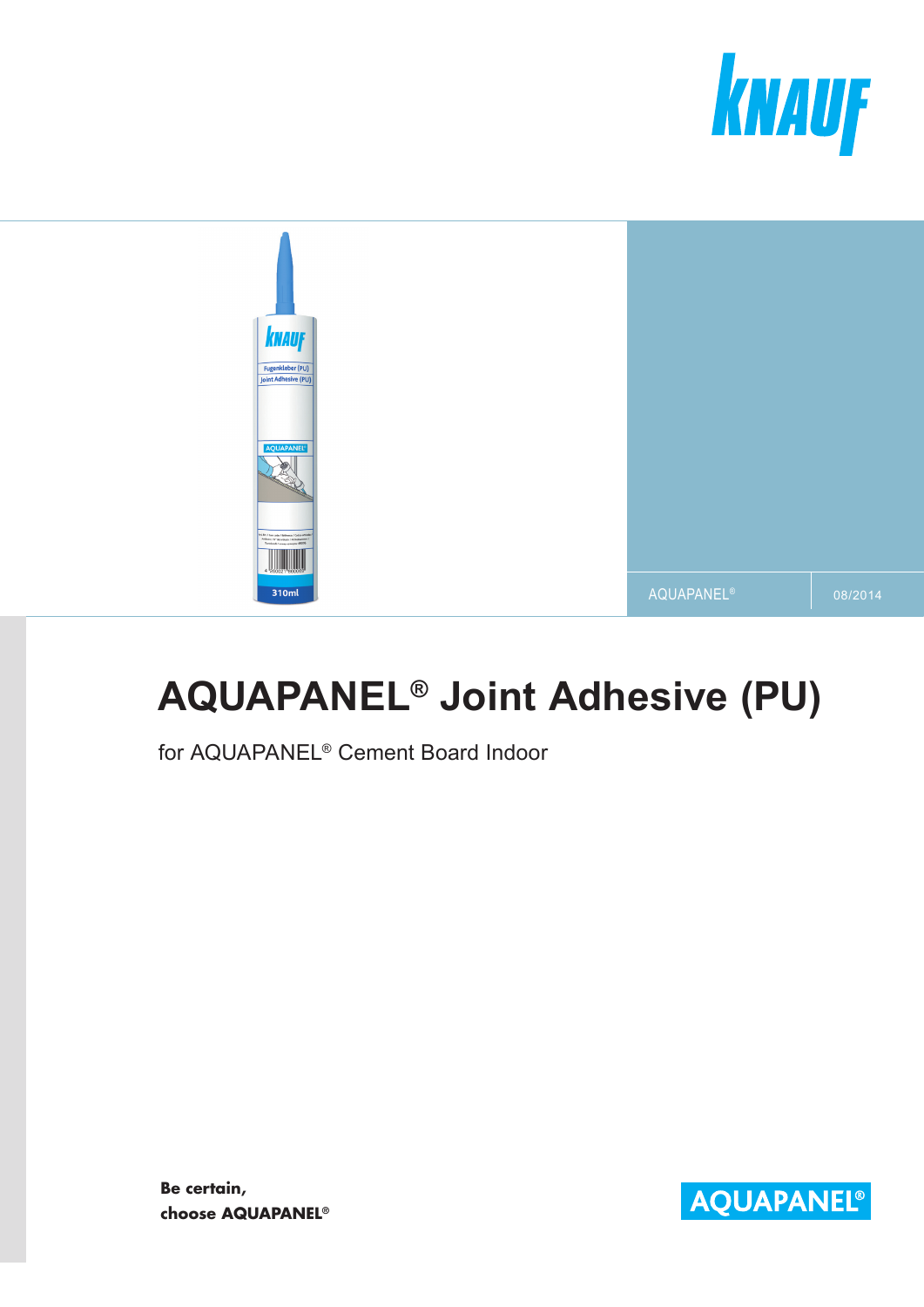



# **AQUAPANEL® Joint Adhesive (PU)**

for AQUAPANEL® Cement Board Indoor

**Be certain, choose AQUAPANEL®**